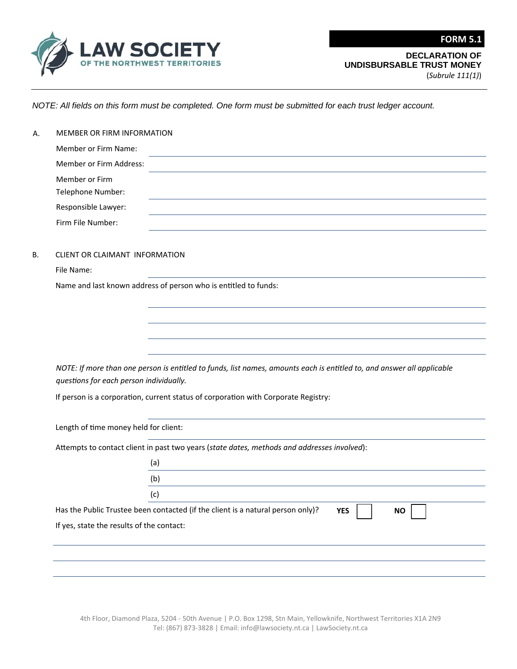

(*Subrule 111(1)*)

**FORM 5.1**

*NOTE: All fields on this form must be completed. One form must be submitted for each trust ledger account.*

| MEMBER OR FIRM INFORMATION                                                                                             |                                                                                                                                        |  |  |
|------------------------------------------------------------------------------------------------------------------------|----------------------------------------------------------------------------------------------------------------------------------------|--|--|
| Member or Firm Name:                                                                                                   |                                                                                                                                        |  |  |
| Member or Firm Address:                                                                                                |                                                                                                                                        |  |  |
| Member or Firm                                                                                                         |                                                                                                                                        |  |  |
| Telephone Number:                                                                                                      |                                                                                                                                        |  |  |
| Responsible Lawyer:                                                                                                    |                                                                                                                                        |  |  |
| Firm File Number:                                                                                                      |                                                                                                                                        |  |  |
| CLIENT OR CLAIMANT INFORMATION                                                                                         |                                                                                                                                        |  |  |
| File Name:                                                                                                             |                                                                                                                                        |  |  |
|                                                                                                                        | Name and last known address of person who is entitled to funds:                                                                        |  |  |
|                                                                                                                        |                                                                                                                                        |  |  |
|                                                                                                                        |                                                                                                                                        |  |  |
|                                                                                                                        |                                                                                                                                        |  |  |
|                                                                                                                        |                                                                                                                                        |  |  |
| NOTE: If more than one person is entitled to funds, list names, amounts each is entitled to, and answer all applicable |                                                                                                                                        |  |  |
| questions for each person individually.                                                                                |                                                                                                                                        |  |  |
|                                                                                                                        |                                                                                                                                        |  |  |
|                                                                                                                        |                                                                                                                                        |  |  |
|                                                                                                                        | If person is a corporation, current status of corporation with Corporate Registry:                                                     |  |  |
| Length of time money held for client:                                                                                  |                                                                                                                                        |  |  |
|                                                                                                                        | Attempts to contact client in past two years (state dates, methods and addresses involved):                                            |  |  |
|                                                                                                                        | (a)                                                                                                                                    |  |  |
|                                                                                                                        | <u> 1989 - Johann Barn, amerikansk politiker (d. 1989)</u><br>(b)                                                                      |  |  |
|                                                                                                                        | (c)                                                                                                                                    |  |  |
|                                                                                                                        | $\overline{\phantom{0}}$<br>Has the Public Trustee been contacted (if the client is a natural person only)?<br><b>YES</b><br><b>NO</b> |  |  |
| If yes, state the results of the contact:                                                                              |                                                                                                                                        |  |  |
|                                                                                                                        |                                                                                                                                        |  |  |

4th Floor, Diamond Plaza, 5204 ‐ 50th Avenue | P.O. Box 1298, Stn Main, Yellowknife, Northwest Territories X1A 2N9 Tel: (867) 873‐3828 | Email: info@lawsociety.nt.ca | LawSociety.nt.ca